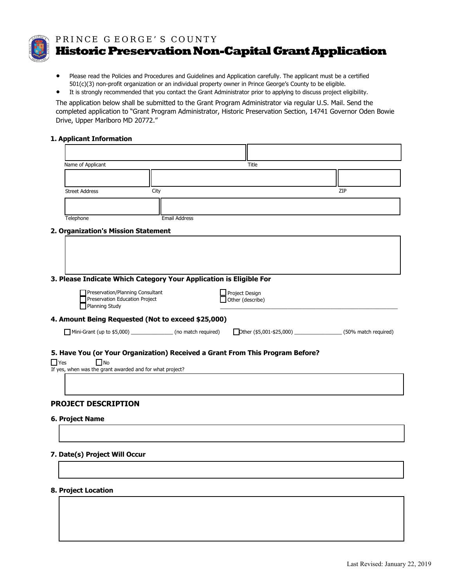

PRINCE G EORGE'S COUNTY

**HistoricPreservation Non-Capital GrantApplication** 

- Please read the Policies and Procedures and Guidelines and Application carefully. The applicant must be a certified 501(c)(3) non-profit organization or an individual property owner in Prince George's County to be eligible.
- It is strongly recommended that you contact the Grant Administrator prior to applying to discuss project eligibility.

The application below shall be submitted to the Grant Program Administrator via regular U.S. Mail. Send the completed application to "Grant Program Administrator, Historic Preservation Section, 14741 Governor Oden Bowie Drive, Upper Marlboro MD 20772."

### **1. Applicant Information**

|            | Name of Applicant                                                                    |      |                      | Title                                                                         |     |
|------------|--------------------------------------------------------------------------------------|------|----------------------|-------------------------------------------------------------------------------|-----|
|            |                                                                                      |      |                      |                                                                               |     |
|            | <b>Street Address</b>                                                                | City |                      |                                                                               | ZIP |
|            |                                                                                      |      |                      |                                                                               |     |
|            | Telephone                                                                            |      | <b>Email Address</b> |                                                                               |     |
|            | 2. Organization's Mission Statement                                                  |      |                      |                                                                               |     |
|            |                                                                                      |      |                      |                                                                               |     |
|            |                                                                                      |      |                      |                                                                               |     |
|            |                                                                                      |      |                      |                                                                               |     |
|            |                                                                                      |      |                      |                                                                               |     |
|            | 3. Please Indicate Which Category Your Application is Eligible For                   |      |                      |                                                                               |     |
|            | Preservation/Planning Consultant<br>Preservation Education Project<br>Planning Study |      |                      | Project Design<br>Other (describe)                                            |     |
|            | 4. Amount Being Requested (Not to exceed \$25,000)                                   |      |                      |                                                                               |     |
|            | Mini-Grant (up to \$5,000) ______________________ (no match required)                |      |                      | Dther (\$5,001-\$25,000) _________________________ (50% match required)       |     |
|            |                                                                                      |      |                      |                                                                               |     |
|            |                                                                                      |      |                      | 5. Have You (or Your Organization) Received a Grant From This Program Before? |     |
| $\Box$ Yes | $\Box$ No                                                                            |      |                      |                                                                               |     |
|            | If yes, when was the grant awarded and for what project?                             |      |                      |                                                                               |     |
|            |                                                                                      |      |                      |                                                                               |     |
|            | <b>PROJECT DESCRIPTION</b>                                                           |      |                      |                                                                               |     |
|            | 6. Project Name                                                                      |      |                      |                                                                               |     |
|            |                                                                                      |      |                      |                                                                               |     |
|            |                                                                                      |      |                      |                                                                               |     |
|            | 7. Date(s) Project Will Occur                                                        |      |                      |                                                                               |     |

#### **8. Project Location**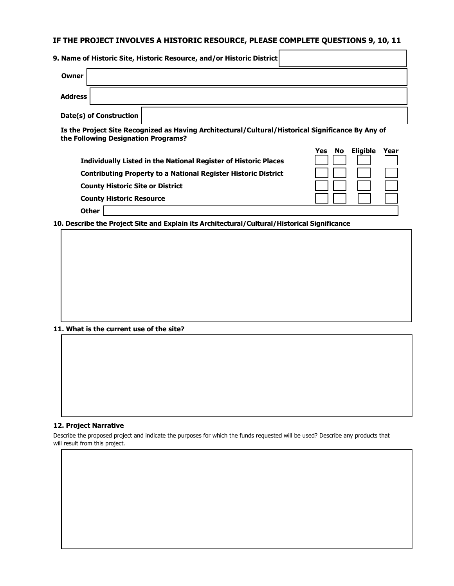# **IF THE PROJECT INVOLVES A HISTORIC RESOURCE, PLEASE COMPLETE QUESTIONS 9, 10, 11**

|                | 9. Name of Historic Site, Historic Resource, and/or Historic District |
|----------------|-----------------------------------------------------------------------|
| Owner          |                                                                       |
| <b>Address</b> |                                                                       |
|                | Date(s) of Construction                                               |

**Is the Project Site Recognized as Having Architectural/Cultural/Historical Significance By Any of the Following Designation Programs?**

| <b>Individually Listed in the National Register of Historic Places</b> | <b>Eligible</b><br>Year<br>No<br>Yes<br>$\mathbf{I}$ |
|------------------------------------------------------------------------|------------------------------------------------------|
| <b>Contributing Property to a National Register Historic District</b>  | $\mathbf{1}$                                         |
| <b>County Historic Site or District</b>                                | $\mathbf{1}$                                         |
| <b>County Historic Resource</b>                                        |                                                      |

**Other**

**10. Describe the Project Site and Explain its Architectural/Cultural/Historical Significance**

**11. What is the current use of the site?**

#### **12. Project Narrative**

Describe the proposed project and indicate the purposes for which the funds requested will be used? Describe any products that will result from this project.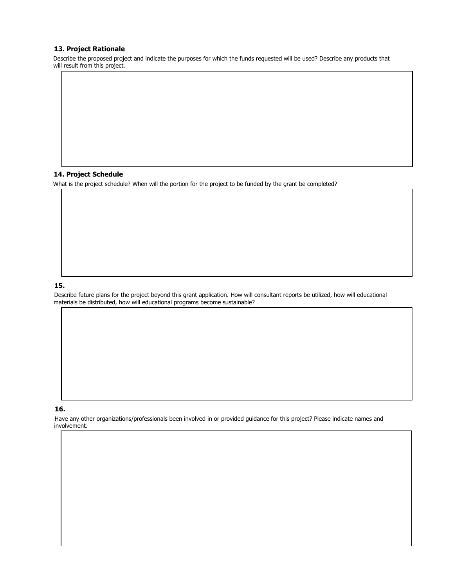#### **13. Project Rationale**

Describe the proposed project and indicate the purposes for which the funds requested will be used? Describe any products that will result from this project.

### **14. Project Schedule**

What is the project schedule? When will the portion for the project to be funded by the grant be completed?

### **15.**

Describe future plans for the project beyond this grant application. How will consultant reports be utilized, how will educational materials be distributed, how will educational programs become sustainable?

### **16.**

Have any other organizations/professionals been involved in or provided guidance for this project? Please indicate names and involvement.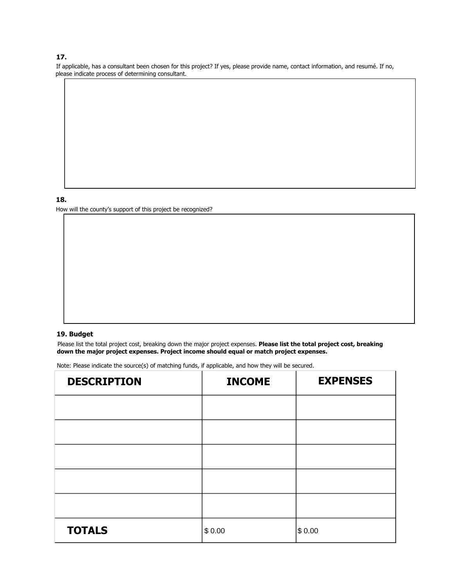### **17.**

If applicable, has a consultant been chosen for this project? If yes, please provide name, contact information, and resumé. If no, please indicate process of determining consultant.

# **18.**

How will the county's support of this project be recognized?

### **19. Budget**

Please list the total project cost, breaking down the major project expenses. **Please list the total project cost, breaking down the major project expenses. Project income should equal or match project expenses.** 

Note: Please indicate the source(s) of matching funds, if applicable, and how they will be secured.

| <b>DESCRIPTION</b> | <b>INCOME</b> | <b>EXPENSES</b> |
|--------------------|---------------|-----------------|
|                    |               |                 |
|                    |               |                 |
|                    |               |                 |
|                    |               |                 |
|                    |               |                 |
| <b>TOTALS</b>      | \$0.00        | \$ 0.00         |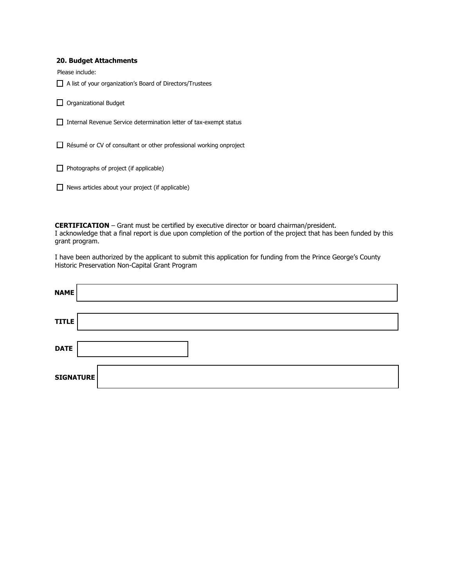#### **20. Budget Attachments**

Please include:

\_\_ A list of your organization's Board of Directors/Trustees

 $\Box$  Organizational Budget

\_\_ Internal Revenue Service determination letter of tax-exempt status

\_\_ Résumé or CV of consultant or other professional working onproject

 $\Box$  Photographs of project (if applicable)

 $\Box$  News articles about your project (if applicable)

**CERTIFICATION** – Grant must be certified by executive director or board chairman/president. I acknowledge that a final report is due upon completion of the portion of the project that has been funded by this grant program.

I have been authorized by the applicant to submit this application for funding from the Prince George's County Historic Preservation Non-Capital Grant Program

| <b>TITLE</b> |
|--------------|
|              |
| <b>DATE</b>  |
| SIGNATURE    |